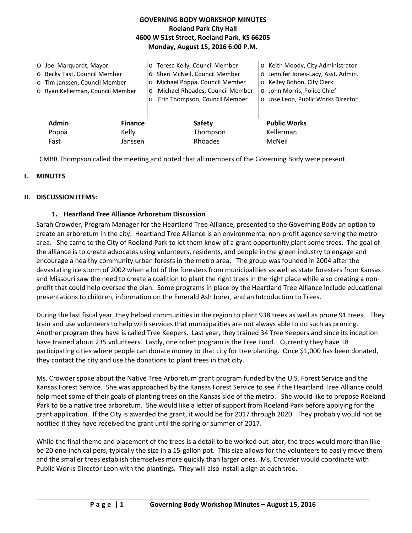## **GOVERNING BODY WORKSHOP MINUTES Roeland Park City Hall 4600 W 51st Street, Roeland Park, KS 66205 Monday, August 15, 2016 6:00 P.M.**

| O Joel Marquardt, Mayor<br>o Becky Fast, Council Member<br>o Tim Janssen, Council Member<br>o Ryan Kellerman, Council Member |                         | o Teresa Kelly, Council Member<br>o Sheri McNeil, Council Member<br>Michael Poppa, Council Member<br>$\circ$<br>Michael Rhoades, Council Member<br>$\circ$<br>Erin Thompson, Council Member | o Keith Moody, City Administrator<br>o Jennifer Jones-Lacy, Asst. Admin.<br>o Kelley Bohon, City Clerk<br>o John Morris, Police Chief<br>o Jose Leon, Public Works Director |
|------------------------------------------------------------------------------------------------------------------------------|-------------------------|---------------------------------------------------------------------------------------------------------------------------------------------------------------------------------------------|-----------------------------------------------------------------------------------------------------------------------------------------------------------------------------|
| <b>Admin</b><br>Poppa                                                                                                        | <b>Finance</b><br>Kelly | <b>Safety</b><br>Thompson                                                                                                                                                                   | <b>Public Works</b><br>Kellerman                                                                                                                                            |
| Fast                                                                                                                         | Janssen                 | Rhoades                                                                                                                                                                                     | McNeil                                                                                                                                                                      |

CMBR Thompson called the meeting and noted that all members of the Governing Body were present.

### **I. MINUTES**

#### **II. DISCUSSION ITEMS:**

### **1. Heartland Tree Alliance Arboretum Discussion**

Sarah Crowder, Program Manager for the Heartland Tree Alliance, presented to the Governing Body an option to create an arboretum in the city. Heartland Tree Alliance is an environmental non-profit agency serving the metro area. She came to the City of Roeland Park to let them know of a grant opportunity plant some trees. The goal of the alliance is to create advocates using volunteers, residents, and people in the green industry to engage and encourage a healthy community urban forests in the metro area. The group was founded in 2004 after the devastating ice storm of 2002 when a lot of the foresters from municipalities as well as state foresters from Kansas and Missouri saw the need to create a coalition to plant the right trees in the right place while also creating a nonprofit that could help oversee the plan. Some programs in place by the Heartland Tree Alliance include educational presentations to children, information on the Emerald Ash borer, and an Introduction to Trees.

During the last fiscal year, they helped communities in the region to plant 938 trees as well as prune 91 trees. They train and use volunteers to help with services that municipalities are not always able to do such as pruning. Another program they have is called Tree Keepers. Last year, they trained 34 Tree Keepers and since its inception have trained about 235 volunteers. Lastly, one other program is the Tree Fund. Currently they have 18 participating cities where people can donate money to that city for tree planting. Once \$1,000 has been donated, they contact the city and use the donations to plant trees in that city.

Ms. Crowder spoke about the Native Tree Arboretum grant program funded by the U.S. Forest Service and the Kansas Forest Service. She was approached by the Kansas Forest Service to see if the Heartland Tree Alliance could help meet some of their goals of planting trees on the Kansas side of the metro. She would like to propose Roeland Park to be a native tree arboretum. She would like a letter of support from Roeland Park before applying for the grant application. If the City is awarded the grant, it would be for 2017 through 2020. They probably would not be notified if they have received the grant until the spring or summer of 2017.

While the final theme and placement of the trees is a detail to be worked out later, the trees would more than like be 20 one-inch calipers, typically the size in a 15-gallon pot. This size allows for the volunteers to easily move them and the smaller trees establish themselves more quickly than larger ones. Ms. Crowder would coordinate with Public Works Director Leon with the plantings. They will also install a sign at each tree.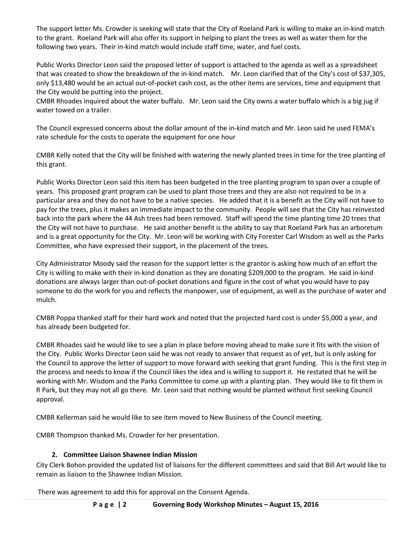The support letter Ms. Crowder is seeking will state that the City of Roeland Park is willing to make an in-kind match to the grant. Roeland Park will also offer its support in helping to plant the trees as well as water them for the following two years. Their in-kind match would include staff time, water, and fuel costs.

Public Works Director Leon said the proposed letter of support is attached to the agenda as well as a spreadsheet that was created to show the breakdown of the in-kind match. Mr. Leon clarified that of the City's cost of \$37,305, only \$13,480 would be an actual out-of-pocket cash cost, as the other items are services, time and equipment that the City would be putting into the project.

CMBR Rhoades inquired about the water buffalo. Mr. Leon said the City owns a water buffalo which is a big jug if water towed on a trailer.

The Council expressed concerns about the dollar amount of the in-kind match and Mr. Leon said he used FEMA's rate schedule for the costs to operate the equipment for one hour

CMBR Kelly noted that the City will be finished with watering the newly planted trees in time for the tree planting of this grant.

Public Works Director Leon said this item has been budgeted in the tree planting program to span over a couple of years. This proposed grant program can be used to plant those trees and they are also not required to be in a particular area and they do not have to be a native species. He added that it is a benefit as the City will not have to pay for the trees, plus it makes an immediate impact to the community. People will see that the City has reinvested back into the park where the 44 Ash trees had been removed. Staff will spend the time planting time 20 trees that the City will not have to purchase. He said another benefit is the ability to say that Roeland Park has an arboretum and is a great opportunity for the City. Mr. Leon will be working with City Forester Carl Wisdom as well as the Parks Committee, who have expressed their support, in the placement of the trees.

City Administrator Moody said the reason for the support letter is the grantor is asking how much of an effort the City is willing to make with their in-kind donation as they are donating \$209,000 to the program. He said in-kind donations are always larger than out-of-pocket donations and figure in the cost of what you would have to pay someone to do the work for you and reflects the manpower, use of equipment, as well as the purchase of water and mulch.

CMBR Poppa thanked staff for their hard work and noted that the projected hard cost is under \$5,000 a year, and has already been budgeted for.

CMBR Rhoades said he would like to see a plan in place before moving ahead to make sure it fits with the vision of the City. Public Works Director Leon said he was not ready to answer that request as of yet, but is only asking for the Council to approve the letter of support to move forward with seeking that grant funding. This is the first step in the process and needs to know if the Council likes the idea and is willing to support it. He restated that he will be working with Mr. Wisdom and the Parks Committee to come up with a planting plan. They would like to fit them in R Park, but they may not all go there. Mr. Leon said that nothing would be planted without first seeking Council approval.

CMBR Kellerman said he would like to see item moved to New Business of the Council meeting.

CMBR Thompson thanked Ms. Crowder for her presentation.

# **2. Committee Liaison Shawnee Indian Mission**

City Clerk Bohon provided the updated list of liaisons for the different committees and said that Bill Art would like to remain as liaison to the Shawnee Indian Mission.

There was agreement to add this for approval on the Consent Agenda.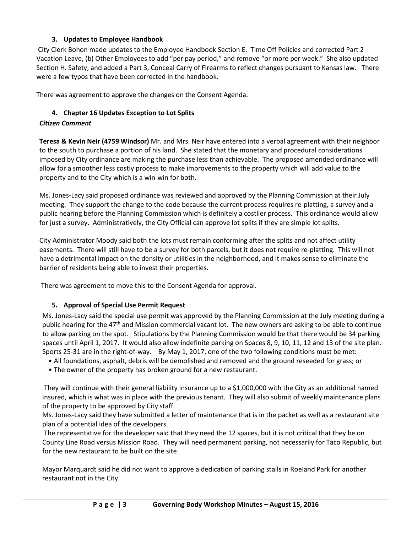## **3. Updates to Employee Handbook**

City Clerk Bohon made updates to the Employee Handbook Section E. Time Off Policies and corrected Part 2 Vacation Leave, (b) Other Employees to add "per pay period," and remove "or more per week." She also updated Section H. Safety, and added a Part 3, Conceal Carry of Firearms to reflect changes pursuant to Kansas law. There were a few typos that have been corrected in the handbook.

There was agreement to approve the changes on the Consent Agenda.

## **4. Chapter 16 Updates Exception to Lot Splits**

## *Citizen Comment*

**Teresa & Kevin Neir (4759 Windsor)** Mr. and Mrs. Neir have entered into a verbal agreement with their neighbor to the south to purchase a portion of his land. She stated that the monetary and procedural considerations imposed by City ordinance are making the purchase less than achievable. The proposed amended ordinance will allow for a smoother less costly process to make improvements to the property which will add value to the property and to the City which is a win-win for both.

Ms. Jones-Lacy said proposed ordinance was reviewed and approved by the Planning Commission at their July meeting. They support the change to the code because the current process requires re-platting, a survey and a public hearing before the Planning Commission which is definitely a costlier process. This ordinance would allow for just a survey. Administratively, the City Official can approve lot splits if they are simple lot splits.

City Administrator Moody said both the lots must remain conforming after the splits and not affect utility easements. There will still have to be a survey for both parcels, but it does not require re-platting. This will not have a detrimental impact on the density or utilities in the neighborhood, and it makes sense to eliminate the barrier of residents being able to invest their properties.

There was agreement to move this to the Consent Agenda for approval.

### **5. Approval of Special Use Permit Request**

Ms. Jones-Lacy said the special use permit was approved by the Planning Commission at the July meeting during a public hearing for the 47<sup>th</sup> and Mission commercial vacant lot. The new owners are asking to be able to continue to allow parking on the spot. Stipulations by the Planning Commission would be that there would be 34 parking spaces until April 1, 2017. It would also allow indefinite parking on Spaces 8, 9, 10, 11, 12 and 13 of the site plan. Sports 25-31 are in the right-of-way. By May 1, 2017, one of the two following conditions must be met:

- All foundations, asphalt, debris will be demolished and removed and the ground reseeded for grass; or
- The owner of the property has broken ground for a new restaurant.

They will continue with their general liability insurance up to a \$1,000,000 with the City as an additional named insured, which is what was in place with the previous tenant. They will also submit of weekly maintenance plans of the property to be approved by City staff.

Ms. Jones-Lacy said they have submitted a letter of maintenance that is in the packet as well as a restaurant site plan of a potential idea of the developers.

The representative for the developer said that they need the 12 spaces, but it is not critical that they be on County Line Road versus Mission Road. They will need permanent parking, not necessarily for Taco Republic, but for the new restaurant to be built on the site.

Mayor Marquardt said he did not want to approve a dedication of parking stalls in Roeland Park for another restaurant not in the City.